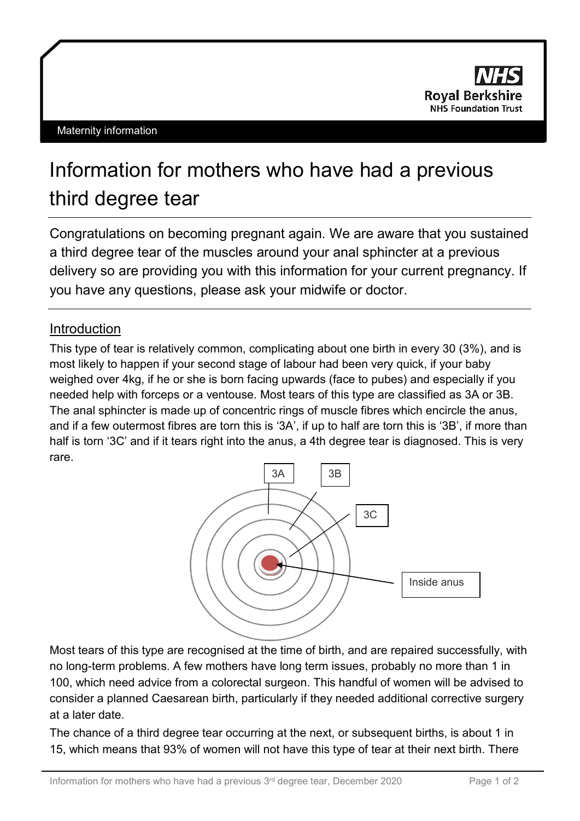

## Information for mothers who have had a previous third degree tear

Congratulations on becoming pregnant again. We are aware that you sustained a third degree tear of the muscles around your anal sphincter at a previous delivery so are providing you with this information for your current pregnancy. If you have any questions, please ask your midwife or doctor.

## **Introduction**

This type of tear is relatively common, complicating about one birth in every 30 (3%), and is most likely to happen if your second stage of labour had been very quick, if your baby weighed over 4kg, if he or she is born facing upwards (face to pubes) and especially if you needed help with forceps or a ventouse. Most tears of this type are classified as 3A or 3B. The anal sphincter is made up of concentric rings of muscle fibres which encircle the anus, and if a few outermost fibres are torn this is '3A', if up to half are torn this is '3B', if more than half is torn '3C' and if it tears right into the anus, a 4th degree tear is diagnosed. This is very rare.



Most tears of this type are recognised at the time of birth, and are repaired successfully, with no long-term problems. A few mothers have long term issues, probably no more than 1 in 100, which need advice from a colorectal surgeon. This handful of women will be advised to consider a planned Caesarean birth, particularly if they needed additional corrective surgery at a later date.

The chance of a third degree tear occurring at the next, or subsequent births, is about 1 in 15, which means that 93% of women will not have this type of tear at their next birth. There